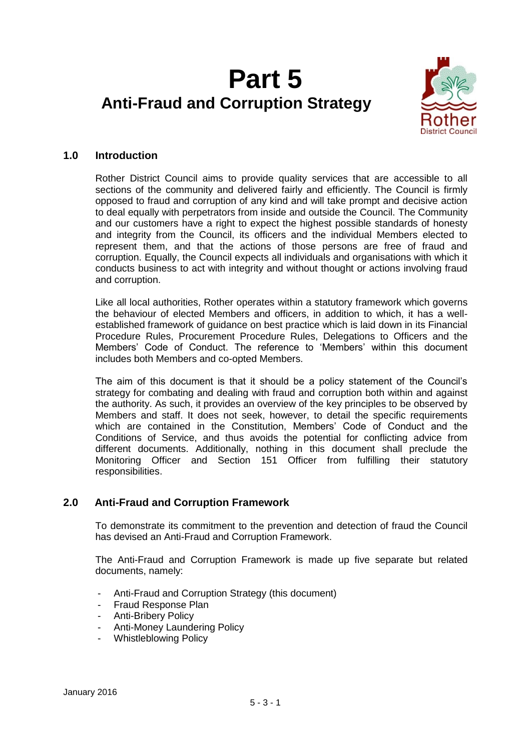# **Part 5 Anti-Fraud and Corruption Strategy**



## **1.0 Introduction**

Rother District Council aims to provide quality services that are accessible to all sections of the community and delivered fairly and efficiently. The Council is firmly opposed to fraud and corruption of any kind and will take prompt and decisive action to deal equally with perpetrators from inside and outside the Council. The Community and our customers have a right to expect the highest possible standards of honesty and integrity from the Council, its officers and the individual Members elected to represent them, and that the actions of those persons are free of fraud and corruption. Equally, the Council expects all individuals and organisations with which it conducts business to act with integrity and without thought or actions involving fraud and corruption.

Like all local authorities, Rother operates within a statutory framework which governs the behaviour of elected Members and officers, in addition to which, it has a wellestablished framework of guidance on best practice which is laid down in its Financial Procedure Rules, Procurement Procedure Rules, Delegations to Officers and the Members' Code of Conduct. The reference to 'Members' within this document includes both Members and co-opted Members.

The aim of this document is that it should be a policy statement of the Council's strategy for combating and dealing with fraud and corruption both within and against the authority. As such, it provides an overview of the key principles to be observed by Members and staff. It does not seek, however, to detail the specific requirements which are contained in the Constitution, Members' Code of Conduct and the Conditions of Service, and thus avoids the potential for conflicting advice from different documents. Additionally, nothing in this document shall preclude the Monitoring Officer and Section 151 Officer from fulfilling their statutory responsibilities.

## **2.0 Anti-Fraud and Corruption Framework**

To demonstrate its commitment to the prevention and detection of fraud the Council has devised an Anti-Fraud and Corruption Framework.

The Anti-Fraud and Corruption Framework is made up five separate but related documents, namely:

- Anti-Fraud and Corruption Strategy (this document)
- Fraud Response Plan
- **Anti-Bribery Policy**
- Anti-Money Laundering Policy
- Whistleblowing Policy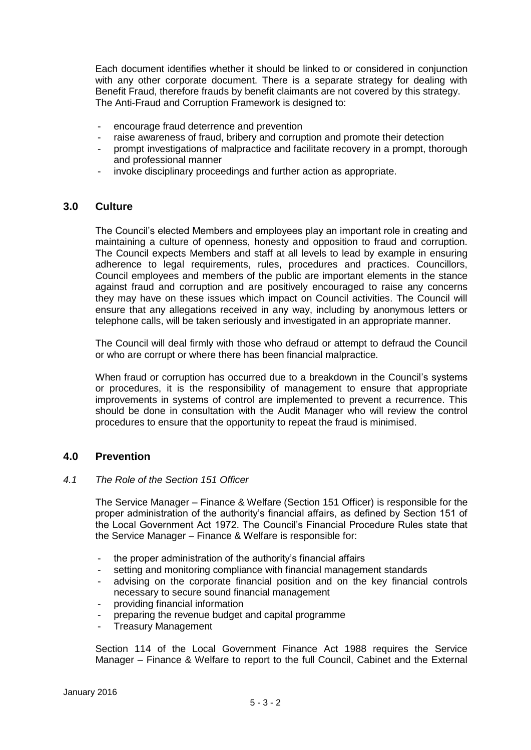Each document identifies whether it should be linked to or considered in conjunction with any other corporate document. There is a separate strategy for dealing with Benefit Fraud, therefore frauds by benefit claimants are not covered by this strategy. The Anti-Fraud and Corruption Framework is designed to:

- encourage fraud deterrence and prevention
- raise awareness of fraud, bribery and corruption and promote their detection
- prompt investigations of malpractice and facilitate recovery in a prompt, thorough and professional manner
- invoke disciplinary proceedings and further action as appropriate.

#### **3.0 Culture**

The Council's elected Members and employees play an important role in creating and maintaining a culture of openness, honesty and opposition to fraud and corruption. The Council expects Members and staff at all levels to lead by example in ensuring adherence to legal requirements, rules, procedures and practices. Councillors, Council employees and members of the public are important elements in the stance against fraud and corruption and are positively encouraged to raise any concerns they may have on these issues which impact on Council activities. The Council will ensure that any allegations received in any way, including by anonymous letters or telephone calls, will be taken seriously and investigated in an appropriate manner.

The Council will deal firmly with those who defraud or attempt to defraud the Council or who are corrupt or where there has been financial malpractice.

When fraud or corruption has occurred due to a breakdown in the Council's systems or procedures, it is the responsibility of management to ensure that appropriate improvements in systems of control are implemented to prevent a recurrence. This should be done in consultation with the Audit Manager who will review the control procedures to ensure that the opportunity to repeat the fraud is minimised.

## **4.0 Prevention**

#### *4.1 The Role of the Section 151 Officer*

The Service Manager – Finance & Welfare (Section 151 Officer) is responsible for the proper administration of the authority's financial affairs, as defined by Section 151 of the Local Government Act 1972. The Council's Financial Procedure Rules state that the Service Manager – Finance & Welfare is responsible for:

- the proper administration of the authority's financial affairs
- setting and monitoring compliance with financial management standards
- advising on the corporate financial position and on the key financial controls necessary to secure sound financial management
- providing financial information
- preparing the revenue budget and capital programme
- Treasury Management

Section 114 of the Local Government Finance Act 1988 requires the Service Manager – Finance & Welfare to report to the full Council, Cabinet and the External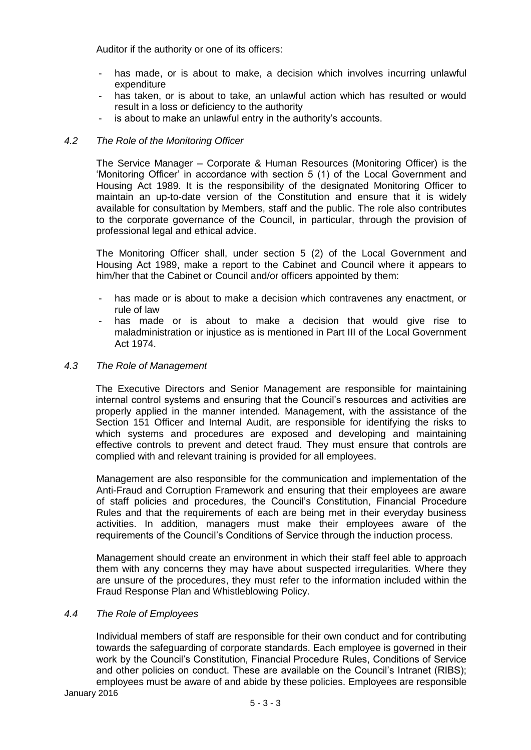Auditor if the authority or one of its officers:

- has made, or is about to make, a decision which involves incurring unlawful expenditure
- has taken, or is about to take, an unlawful action which has resulted or would result in a loss or deficiency to the authority
- is about to make an unlawful entry in the authority's accounts.

#### *4.2 The Role of the Monitoring Officer*

The Service Manager – Corporate & Human Resources (Monitoring Officer) is the 'Monitoring Officer' in accordance with section 5 (1) of the Local Government and Housing Act 1989. It is the responsibility of the designated Monitoring Officer to maintain an up-to-date version of the Constitution and ensure that it is widely available for consultation by Members, staff and the public. The role also contributes to the corporate governance of the Council, in particular, through the provision of professional legal and ethical advice.

The Monitoring Officer shall, under section 5 (2) of the Local Government and Housing Act 1989, make a report to the Cabinet and Council where it appears to him/her that the Cabinet or Council and/or officers appointed by them:

- has made or is about to make a decision which contravenes any enactment, or rule of law
- has made or is about to make a decision that would give rise to maladministration or injustice as is mentioned in Part III of the Local Government Act 1974.

#### *4.3 The Role of Management*

The Executive Directors and Senior Management are responsible for maintaining internal control systems and ensuring that the Council's resources and activities are properly applied in the manner intended. Management, with the assistance of the Section 151 Officer and Internal Audit, are responsible for identifying the risks to which systems and procedures are exposed and developing and maintaining effective controls to prevent and detect fraud. They must ensure that controls are complied with and relevant training is provided for all employees.

Management are also responsible for the communication and implementation of the Anti-Fraud and Corruption Framework and ensuring that their employees are aware of staff policies and procedures, the Council's Constitution, Financial Procedure Rules and that the requirements of each are being met in their everyday business activities. In addition, managers must make their employees aware of the requirements of the Council's Conditions of Service through the induction process.

Management should create an environment in which their staff feel able to approach them with any concerns they may have about suspected irregularities. Where they are unsure of the procedures, they must refer to the information included within the Fraud Response Plan and Whistleblowing Policy.

#### *4.4 The Role of Employees*

Individual members of staff are responsible for their own conduct and for contributing towards the safeguarding of corporate standards. Each employee is governed in their work by the Council's Constitution, Financial Procedure Rules, Conditions of Service and other policies on conduct. These are available on the Council's Intranet (RIBS); employees must be aware of and abide by these policies. Employees are responsible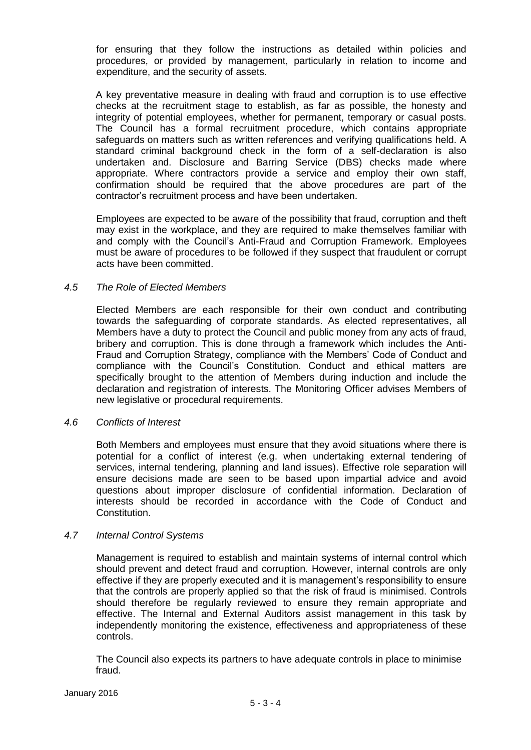for ensuring that they follow the instructions as detailed within policies and procedures, or provided by management, particularly in relation to income and expenditure, and the security of assets.

A key preventative measure in dealing with fraud and corruption is to use effective checks at the recruitment stage to establish, as far as possible, the honesty and integrity of potential employees, whether for permanent, temporary or casual posts. The Council has a formal recruitment procedure, which contains appropriate safeguards on matters such as written references and verifying qualifications held. A standard criminal background check in the form of a self-declaration is also undertaken and. Disclosure and Barring Service (DBS) checks made where appropriate. Where contractors provide a service and employ their own staff, confirmation should be required that the above procedures are part of the contractor's recruitment process and have been undertaken.

Employees are expected to be aware of the possibility that fraud, corruption and theft may exist in the workplace, and they are required to make themselves familiar with and comply with the Council's Anti-Fraud and Corruption Framework. Employees must be aware of procedures to be followed if they suspect that fraudulent or corrupt acts have been committed.

#### *4.5 The Role of Elected Members*

Elected Members are each responsible for their own conduct and contributing towards the safeguarding of corporate standards. As elected representatives, all Members have a duty to protect the Council and public money from any acts of fraud, bribery and corruption. This is done through a framework which includes the Anti-Fraud and Corruption Strategy, compliance with the Members' Code of Conduct and compliance with the Council's Constitution. Conduct and ethical matters are specifically brought to the attention of Members during induction and include the declaration and registration of interests. The Monitoring Officer advises Members of new legislative or procedural requirements.

#### *4.6 Conflicts of Interest*

Both Members and employees must ensure that they avoid situations where there is potential for a conflict of interest (e.g. when undertaking external tendering of services, internal tendering, planning and land issues). Effective role separation will ensure decisions made are seen to be based upon impartial advice and avoid questions about improper disclosure of confidential information. Declaration of interests should be recorded in accordance with the Code of Conduct and Constitution.

#### *4.7 Internal Control Systems*

Management is required to establish and maintain systems of internal control which should prevent and detect fraud and corruption. However, internal controls are only effective if they are properly executed and it is management's responsibility to ensure that the controls are properly applied so that the risk of fraud is minimised. Controls should therefore be regularly reviewed to ensure they remain appropriate and effective. The Internal and External Auditors assist management in this task by independently monitoring the existence, effectiveness and appropriateness of these controls.

The Council also expects its partners to have adequate controls in place to minimise fraud.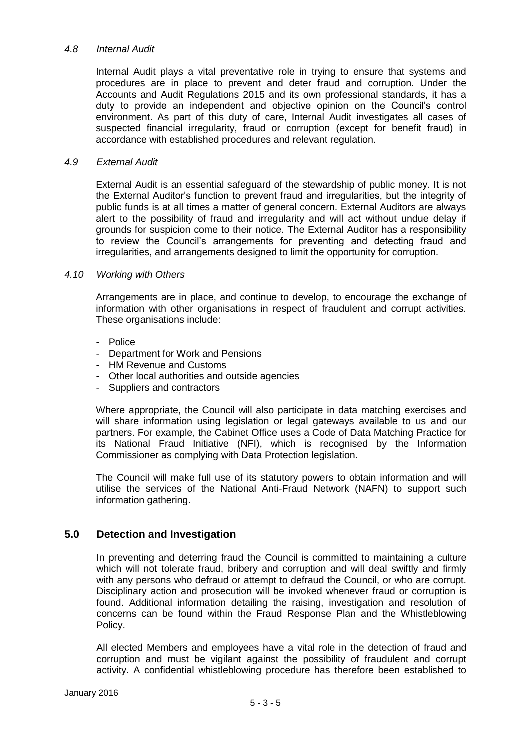#### *4.8 Internal Audit*

Internal Audit plays a vital preventative role in trying to ensure that systems and procedures are in place to prevent and deter fraud and corruption. Under the Accounts and Audit Regulations 2015 and its own professional standards, it has a duty to provide an independent and objective opinion on the Council's control environment. As part of this duty of care, Internal Audit investigates all cases of suspected financial irregularity, fraud or corruption (except for benefit fraud) in accordance with established procedures and relevant regulation.

#### *4.9 External Audit*

External Audit is an essential safeguard of the stewardship of public money. It is not the External Auditor's function to prevent fraud and irregularities, but the integrity of public funds is at all times a matter of general concern. External Auditors are always alert to the possibility of fraud and irregularity and will act without undue delay if grounds for suspicion come to their notice. The External Auditor has a responsibility to review the Council's arrangements for preventing and detecting fraud and irregularities, and arrangements designed to limit the opportunity for corruption.

#### *4.10 Working with Others*

Arrangements are in place, and continue to develop, to encourage the exchange of information with other organisations in respect of fraudulent and corrupt activities. These organisations include:

- Police
- Department for Work and Pensions
- HM Revenue and Customs
- Other local authorities and outside agencies
- Suppliers and contractors

Where appropriate, the Council will also participate in data matching exercises and will share information using legislation or legal gateways available to us and our partners. For example, the Cabinet Office uses a Code of Data Matching Practice for its National Fraud Initiative (NFI), which is recognised by the Information Commissioner as complying with Data Protection legislation.

The Council will make full use of its statutory powers to obtain information and will utilise the services of the National Anti-Fraud Network (NAFN) to support such information gathering.

## **5.0 Detection and Investigation**

In preventing and deterring fraud the Council is committed to maintaining a culture which will not tolerate fraud, bribery and corruption and will deal swiftly and firmly with any persons who defraud or attempt to defraud the Council, or who are corrupt. Disciplinary action and prosecution will be invoked whenever fraud or corruption is found. Additional information detailing the raising, investigation and resolution of concerns can be found within the Fraud Response Plan and the Whistleblowing Policy.

All elected Members and employees have a vital role in the detection of fraud and corruption and must be vigilant against the possibility of fraudulent and corrupt activity. A confidential whistleblowing procedure has therefore been established to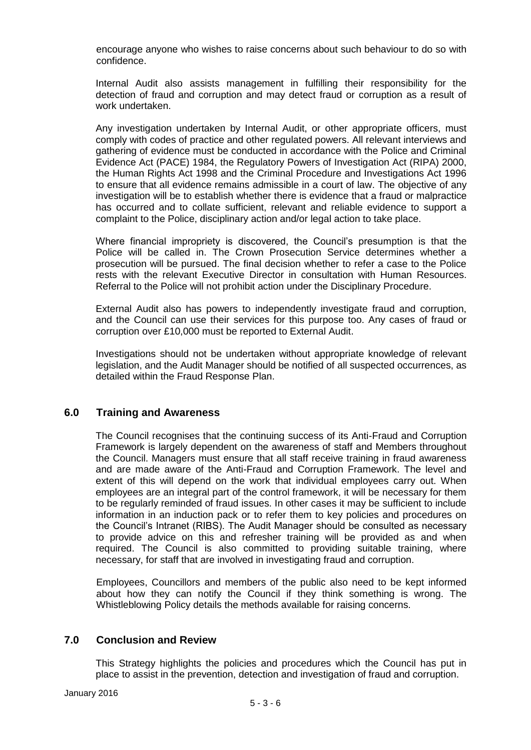encourage anyone who wishes to raise concerns about such behaviour to do so with confidence.

Internal Audit also assists management in fulfilling their responsibility for the detection of fraud and corruption and may detect fraud or corruption as a result of work undertaken.

Any investigation undertaken by Internal Audit, or other appropriate officers, must comply with codes of practice and other regulated powers. All relevant interviews and gathering of evidence must be conducted in accordance with the Police and Criminal Evidence Act (PACE) 1984, the Regulatory Powers of Investigation Act (RIPA) 2000, the Human Rights Act 1998 and the Criminal Procedure and Investigations Act 1996 to ensure that all evidence remains admissible in a court of law. The objective of any investigation will be to establish whether there is evidence that a fraud or malpractice has occurred and to collate sufficient, relevant and reliable evidence to support a complaint to the Police, disciplinary action and/or legal action to take place.

Where financial impropriety is discovered, the Council's presumption is that the Police will be called in. The Crown Prosecution Service determines whether a prosecution will be pursued. The final decision whether to refer a case to the Police rests with the relevant Executive Director in consultation with Human Resources. Referral to the Police will not prohibit action under the Disciplinary Procedure.

External Audit also has powers to independently investigate fraud and corruption, and the Council can use their services for this purpose too. Any cases of fraud or corruption over £10,000 must be reported to External Audit.

Investigations should not be undertaken without appropriate knowledge of relevant legislation, and the Audit Manager should be notified of all suspected occurrences, as detailed within the Fraud Response Plan.

## **6.0 Training and Awareness**

The Council recognises that the continuing success of its Anti-Fraud and Corruption Framework is largely dependent on the awareness of staff and Members throughout the Council. Managers must ensure that all staff receive training in fraud awareness and are made aware of the Anti-Fraud and Corruption Framework. The level and extent of this will depend on the work that individual employees carry out. When employees are an integral part of the control framework, it will be necessary for them to be regularly reminded of fraud issues. In other cases it may be sufficient to include information in an induction pack or to refer them to key policies and procedures on the Council's Intranet (RIBS). The Audit Manager should be consulted as necessary to provide advice on this and refresher training will be provided as and when required. The Council is also committed to providing suitable training, where necessary, for staff that are involved in investigating fraud and corruption.

Employees, Councillors and members of the public also need to be kept informed about how they can notify the Council if they think something is wrong. The Whistleblowing Policy details the methods available for raising concerns.

## **7.0 Conclusion and Review**

This Strategy highlights the policies and procedures which the Council has put in place to assist in the prevention, detection and investigation of fraud and corruption.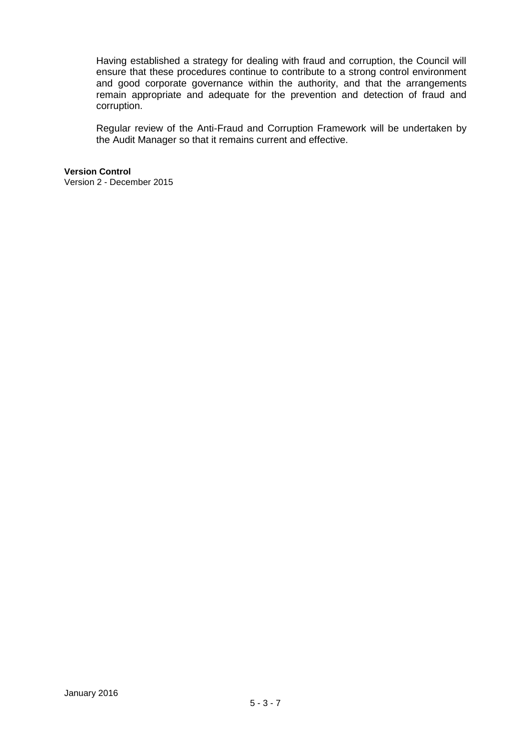Having established a strategy for dealing with fraud and corruption, the Council will ensure that these procedures continue to contribute to a strong control environment and good corporate governance within the authority, and that the arrangements remain appropriate and adequate for the prevention and detection of fraud and corruption.

Regular review of the Anti-Fraud and Corruption Framework will be undertaken by the Audit Manager so that it remains current and effective.

#### **Version Control**

Version 2 - December 2015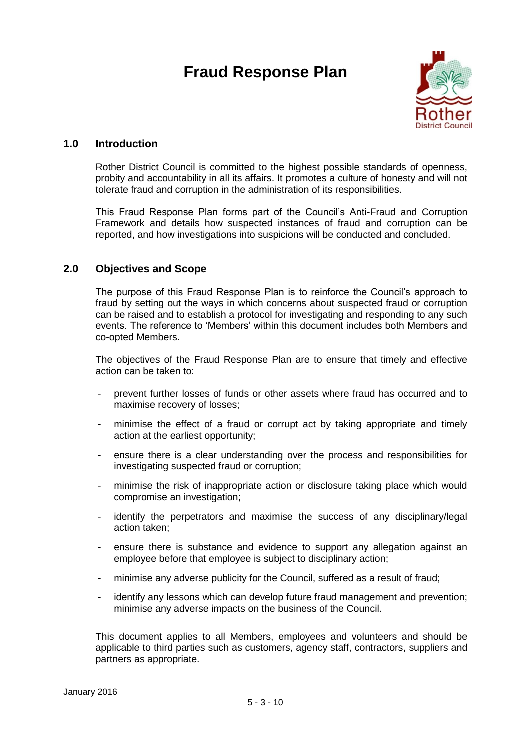## **Fraud Response Plan**



## **1.0 Introduction**

Rother District Council is committed to the highest possible standards of openness, probity and accountability in all its affairs. It promotes a culture of honesty and will not tolerate fraud and corruption in the administration of its responsibilities.

This Fraud Response Plan forms part of the Council's Anti-Fraud and Corruption Framework and details how suspected instances of fraud and corruption can be reported, and how investigations into suspicions will be conducted and concluded.

## **2.0 Objectives and Scope**

The purpose of this Fraud Response Plan is to reinforce the Council's approach to fraud by setting out the ways in which concerns about suspected fraud or corruption can be raised and to establish a protocol for investigating and responding to any such events. The reference to 'Members' within this document includes both Members and co-opted Members.

The objectives of the Fraud Response Plan are to ensure that timely and effective action can be taken to:

- prevent further losses of funds or other assets where fraud has occurred and to maximise recovery of losses;
- minimise the effect of a fraud or corrupt act by taking appropriate and timely action at the earliest opportunity;
- ensure there is a clear understanding over the process and responsibilities for investigating suspected fraud or corruption;
- minimise the risk of inappropriate action or disclosure taking place which would compromise an investigation;
- identify the perpetrators and maximise the success of any disciplinary/legal action taken;
- ensure there is substance and evidence to support any allegation against an employee before that employee is subject to disciplinary action;
- minimise any adverse publicity for the Council, suffered as a result of fraud;
- identify any lessons which can develop future fraud management and prevention; minimise any adverse impacts on the business of the Council.

This document applies to all Members, employees and volunteers and should be applicable to third parties such as customers, agency staff, contractors, suppliers and partners as appropriate.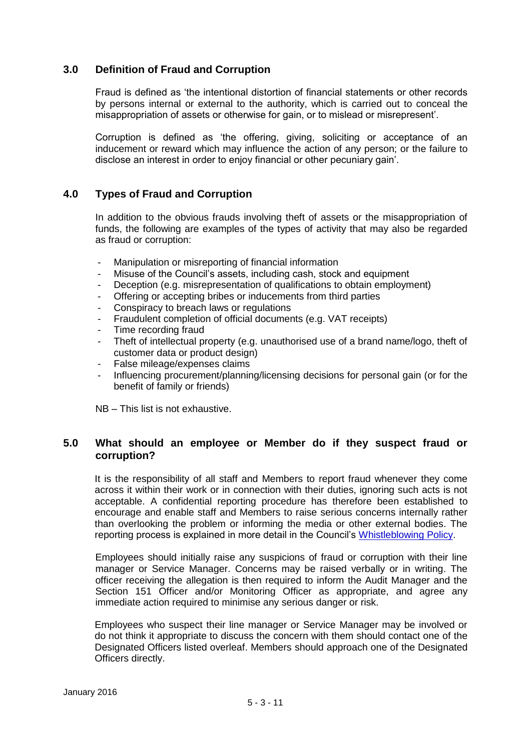## **3.0 Definition of Fraud and Corruption**

Fraud is defined as 'the intentional distortion of financial statements or other records by persons internal or external to the authority, which is carried out to conceal the misappropriation of assets or otherwise for gain, or to mislead or misrepresent'.

Corruption is defined as 'the offering, giving, soliciting or acceptance of an inducement or reward which may influence the action of any person; or the failure to disclose an interest in order to enjoy financial or other pecuniary gain'.

## **4.0 Types of Fraud and Corruption**

In addition to the obvious frauds involving theft of assets or the misappropriation of funds, the following are examples of the types of activity that may also be regarded as fraud or corruption:

- Manipulation or misreporting of financial information
- Misuse of the Council's assets, including cash, stock and equipment
- Deception (e.g. misrepresentation of qualifications to obtain employment)
- Offering or accepting bribes or inducements from third parties
- Conspiracy to breach laws or regulations
- Fraudulent completion of official documents (e.g. VAT receipts)
- Time recording fraud
- Theft of intellectual property (e.g. unauthorised use of a brand name/logo, theft of customer data or product design)
- False mileage/expenses claims
- Influencing procurement/planning/licensing decisions for personal gain (or for the benefit of family or friends)

NB – This list is not exhaustive.

## **5.0 What should an employee or Member do if they suspect fraud or corruption?**

It is the responsibility of all staff and Members to report fraud whenever they come across it within their work or in connection with their duties, ignoring such acts is not acceptable. A confidential reporting procedure has therefore been established to encourage and enable staff and Members to raise serious concerns internally rather than overlooking the problem or informing the media or other external bodies. The reporting process is explained in more detail in the Council's Whistleblowing Policy.

Employees should initially raise any suspicions of fraud or corruption with their line manager or Service Manager. Concerns may be raised verbally or in writing. The officer receiving the allegation is then required to inform the Audit Manager and the Section 151 Officer and/or Monitoring Officer as appropriate, and agree any immediate action required to minimise any serious danger or risk.

Employees who suspect their line manager or Service Manager may be involved or do not think it appropriate to discuss the concern with them should contact one of the Designated Officers listed overleaf. Members should approach one of the Designated Officers directly.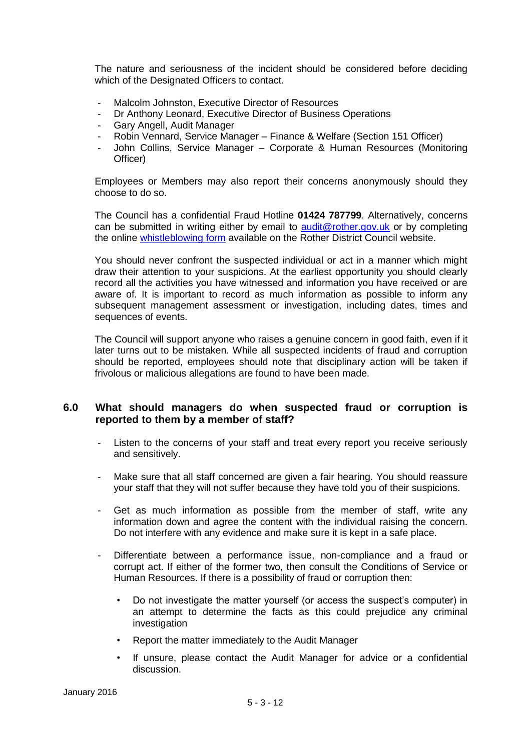The nature and seriousness of the incident should be considered before deciding which of the Designated Officers to contact.

- Malcolm Johnston, Executive Director of Resources
- Dr Anthony Leonard, Executive Director of Business Operations
- Gary Angell, Audit Manager
- Robin Vennard, Service Manager Finance & Welfare (Section 151 Officer)
- John Collins, Service Manager Corporate & Human Resources (Monitoring Officer)

Employees or Members may also report their concerns anonymously should they choose to do so.

The Council has a confidential Fraud Hotline **01424 787799**. Alternatively, concerns can be submitted in writing either by email to [audit@rother.gov.uk](mailto:audit@rother.gov.uk) or by completing the online whistleblowing form available on the Rother District Council website.

You should never confront the suspected individual or act in a manner which might draw their attention to your suspicions. At the earliest opportunity you should clearly record all the activities you have witnessed and information you have received or are aware of. It is important to record as much information as possible to inform any subsequent management assessment or investigation, including dates, times and sequences of events.

The Council will support anyone who raises a genuine concern in good faith, even if it later turns out to be mistaken. While all suspected incidents of fraud and corruption should be reported, employees should note that disciplinary action will be taken if frivolous or malicious allegations are found to have been made.

## **6.0 What should managers do when suspected fraud or corruption is reported to them by a member of staff?**

- Listen to the concerns of your staff and treat every report you receive seriously and sensitively.
- Make sure that all staff concerned are given a fair hearing. You should reassure your staff that they will not suffer because they have told you of their suspicions.
- Get as much information as possible from the member of staff, write any information down and agree the content with the individual raising the concern. Do not interfere with any evidence and make sure it is kept in a safe place.
- Differentiate between a performance issue, non-compliance and a fraud or corrupt act. If either of the former two, then consult the Conditions of Service or Human Resources. If there is a possibility of fraud or corruption then:
	- Do not investigate the matter yourself (or access the suspect's computer) in an attempt to determine the facts as this could prejudice any criminal investigation
	- Report the matter immediately to the Audit Manager
	- If unsure, please contact the Audit Manager for advice or a confidential discussion.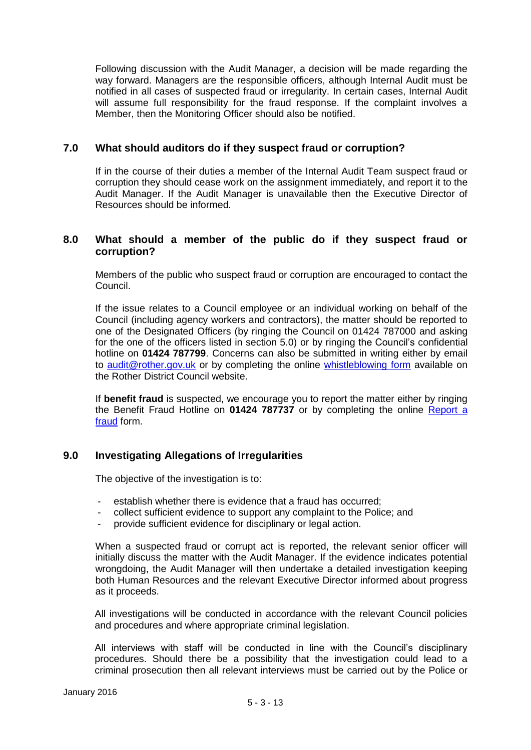Following discussion with the Audit Manager, a decision will be made regarding the way forward. Managers are the responsible officers, although Internal Audit must be notified in all cases of suspected fraud or irregularity. In certain cases, Internal Audit will assume full responsibility for the fraud response. If the complaint involves a Member, then the Monitoring Officer should also be notified.

## **7.0 What should auditors do if they suspect fraud or corruption?**

If in the course of their duties a member of the Internal Audit Team suspect fraud or corruption they should cease work on the assignment immediately, and report it to the Audit Manager. If the Audit Manager is unavailable then the Executive Director of Resources should be informed.

## **8.0 What should a member of the public do if they suspect fraud or corruption?**

Members of the public who suspect fraud or corruption are encouraged to contact the Council.

If the issue relates to a Council employee or an individual working on behalf of the Council (including agency workers and contractors), the matter should be reported to one of the Designated Officers (by ringing the Council on 01424 787000 and asking for the one of the officers listed in section 5.0) or by ringing the Council's confidential hotline on **01424 787799**. Concerns can also be submitted in writing either by email to [audit@rother.gov.uk](mailto:audit@rother.gov.uk) or by completing the online whistleblowing form available on the Rother District Council website.

If **benefit fraud** is suspected, we encourage you to report the matter either by ringing the Benefit Fraud Hotline on **01424 787737** or by completing the online [Report a](https://www.rother.gov.uk/article/20/Report-a-fraud)  [fraud](https://www.rother.gov.uk/article/20/Report-a-fraud) form.

## **9.0 Investigating Allegations of Irregularities**

The objective of the investigation is to:

- establish whether there is evidence that a fraud has occurred;
- collect sufficient evidence to support any complaint to the Police; and
- provide sufficient evidence for disciplinary or legal action.

When a suspected fraud or corrupt act is reported, the relevant senior officer will initially discuss the matter with the Audit Manager. If the evidence indicates potential wrongdoing, the Audit Manager will then undertake a detailed investigation keeping both Human Resources and the relevant Executive Director informed about progress as it proceeds.

All investigations will be conducted in accordance with the relevant Council policies and procedures and where appropriate criminal legislation.

All interviews with staff will be conducted in line with the Council's disciplinary procedures. Should there be a possibility that the investigation could lead to a criminal prosecution then all relevant interviews must be carried out by the Police or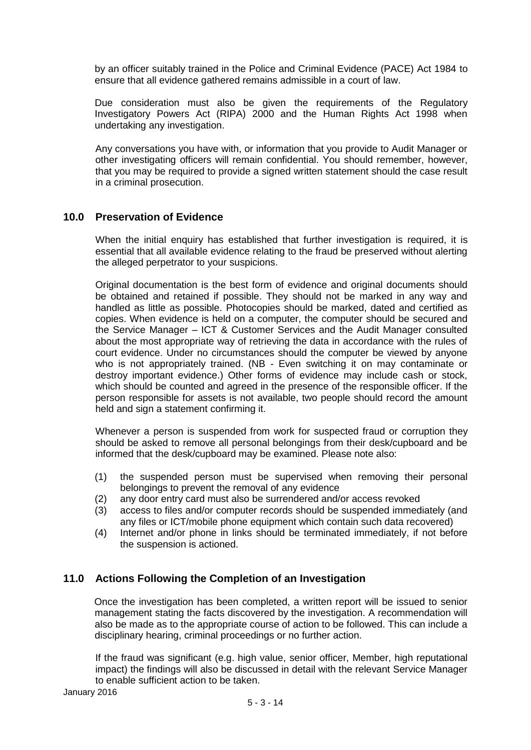by an officer suitably trained in the Police and Criminal Evidence (PACE) Act 1984 to ensure that all evidence gathered remains admissible in a court of law.

Due consideration must also be given the requirements of the Regulatory Investigatory Powers Act (RIPA) 2000 and the Human Rights Act 1998 when undertaking any investigation.

Any conversations you have with, or information that you provide to Audit Manager or other investigating officers will remain confidential. You should remember, however, that you may be required to provide a signed written statement should the case result in a criminal prosecution.

## **10.0 Preservation of Evidence**

When the initial enquiry has established that further investigation is required, it is essential that all available evidence relating to the fraud be preserved without alerting the alleged perpetrator to your suspicions.

Original documentation is the best form of evidence and original documents should be obtained and retained if possible. They should not be marked in any way and handled as little as possible. Photocopies should be marked, dated and certified as copies. When evidence is held on a computer, the computer should be secured and the Service Manager – ICT & Customer Services and the Audit Manager consulted about the most appropriate way of retrieving the data in accordance with the rules of court evidence. Under no circumstances should the computer be viewed by anyone who is not appropriately trained. (NB - Even switching it on may contaminate or destroy important evidence.) Other forms of evidence may include cash or stock, which should be counted and agreed in the presence of the responsible officer. If the person responsible for assets is not available, two people should record the amount held and sign a statement confirming it.

Whenever a person is suspended from work for suspected fraud or corruption they should be asked to remove all personal belongings from their desk/cupboard and be informed that the desk/cupboard may be examined. Please note also:

- (1) the suspended person must be supervised when removing their personal belongings to prevent the removal of any evidence
- (2) any door entry card must also be surrendered and/or access revoked
- (3) access to files and/or computer records should be suspended immediately (and any files or ICT/mobile phone equipment which contain such data recovered)
- (4) Internet and/or phone in links should be terminated immediately, if not before the suspension is actioned.

#### **11.0 Actions Following the Completion of an Investigation**

Once the investigation has been completed, a written report will be issued to senior management stating the facts discovered by the investigation. A recommendation will also be made as to the appropriate course of action to be followed. This can include a disciplinary hearing, criminal proceedings or no further action.

If the fraud was significant (e.g. high value, senior officer, Member, high reputational impact) the findings will also be discussed in detail with the relevant Service Manager to enable sufficient action to be taken.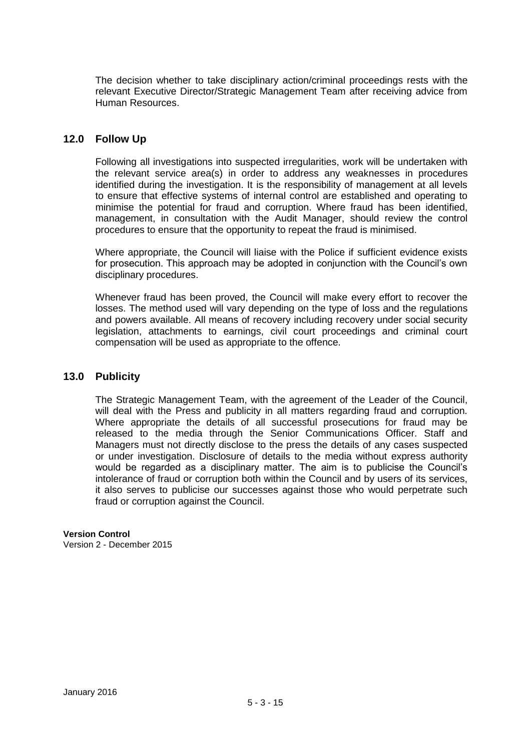The decision whether to take disciplinary action/criminal proceedings rests with the relevant Executive Director/Strategic Management Team after receiving advice from Human Resources.

## **12.0 Follow Up**

Following all investigations into suspected irregularities, work will be undertaken with the relevant service area(s) in order to address any weaknesses in procedures identified during the investigation. It is the responsibility of management at all levels to ensure that effective systems of internal control are established and operating to minimise the potential for fraud and corruption. Where fraud has been identified, management, in consultation with the Audit Manager, should review the control procedures to ensure that the opportunity to repeat the fraud is minimised.

Where appropriate, the Council will liaise with the Police if sufficient evidence exists for prosecution. This approach may be adopted in conjunction with the Council's own disciplinary procedures.

Whenever fraud has been proved, the Council will make every effort to recover the losses. The method used will vary depending on the type of loss and the regulations and powers available. All means of recovery including recovery under social security legislation, attachments to earnings, civil court proceedings and criminal court compensation will be used as appropriate to the offence.

## **13.0 Publicity**

The Strategic Management Team, with the agreement of the Leader of the Council, will deal with the Press and publicity in all matters regarding fraud and corruption. Where appropriate the details of all successful prosecutions for fraud may be released to the media through the Senior Communications Officer. Staff and Managers must not directly disclose to the press the details of any cases suspected or under investigation. Disclosure of details to the media without express authority would be regarded as a disciplinary matter. The aim is to publicise the Council's intolerance of fraud or corruption both within the Council and by users of its services, it also serves to publicise our successes against those who would perpetrate such fraud or corruption against the Council.

**Version Control** Version 2 - December 2015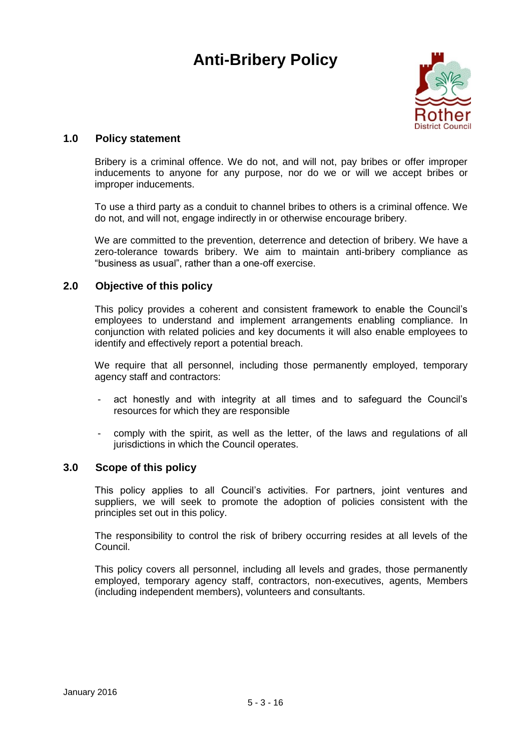## **Anti-Bribery Policy**



## **1.0 Policy statement**

Bribery is a criminal offence. We do not, and will not, pay bribes or offer improper inducements to anyone for any purpose, nor do we or will we accept bribes or improper inducements.

To use a third party as a conduit to channel bribes to others is a criminal offence. We do not, and will not, engage indirectly in or otherwise encourage bribery.

We are committed to the prevention, deterrence and detection of bribery. We have a zero-tolerance towards bribery. We aim to maintain anti-bribery compliance as "business as usual", rather than a one-off exercise.

## **2.0 Objective of this policy**

This policy provides a coherent and consistent framework to enable the Council's employees to understand and implement arrangements enabling compliance. In conjunction with related policies and key documents it will also enable employees to identify and effectively report a potential breach.

We require that all personnel, including those permanently employed, temporary agency staff and contractors:

- act honestly and with integrity at all times and to safeguard the Council's resources for which they are responsible
- comply with the spirit, as well as the letter, of the laws and regulations of all jurisdictions in which the Council operates.

#### **3.0 Scope of this policy**

This policy applies to all Council's activities. For partners, joint ventures and suppliers, we will seek to promote the adoption of policies consistent with the principles set out in this policy.

The responsibility to control the risk of bribery occurring resides at all levels of the Council.

This policy covers all personnel, including all levels and grades, those permanently employed, temporary agency staff, contractors, non-executives, agents, Members (including independent members), volunteers and consultants.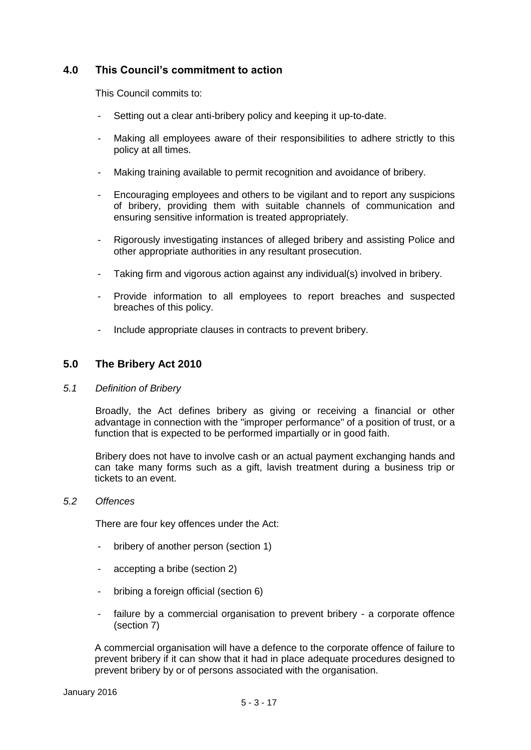## **4.0 This Council's commitment to action**

This Council commits to:

- Setting out a clear anti-bribery policy and keeping it up-to-date.
- Making all employees aware of their responsibilities to adhere strictly to this policy at all times.
- Making training available to permit recognition and avoidance of bribery.
- Encouraging employees and others to be vigilant and to report any suspicions of bribery, providing them with suitable channels of communication and ensuring sensitive information is treated appropriately.
- Rigorously investigating instances of alleged bribery and assisting Police and other appropriate authorities in any resultant prosecution.
- Taking firm and vigorous action against any individual(s) involved in bribery.
- Provide information to all employees to report breaches and suspected breaches of this policy.
- Include appropriate clauses in contracts to prevent bribery.

## **5.0 The Bribery Act 2010**

#### *5.1 Definition of Bribery*

Broadly, the Act defines bribery as giving or receiving a financial or other advantage in connection with the "improper performance" of a position of trust, or a function that is expected to be performed impartially or in good faith.

Bribery does not have to involve cash or an actual payment exchanging hands and can take many forms such as a gift, lavish treatment during a business trip or tickets to an event.

#### *5.2 Offences*

There are four key offences under the Act:

- bribery of another person (section 1)
- accepting a bribe (section 2)
- bribing a foreign official (section 6)
- failure by a commercial organisation to prevent bribery a corporate offence (section 7)

A commercial organisation will have a defence to the corporate offence of failure to prevent bribery if it can show that it had in place adequate procedures designed to prevent bribery by or of persons associated with the organisation.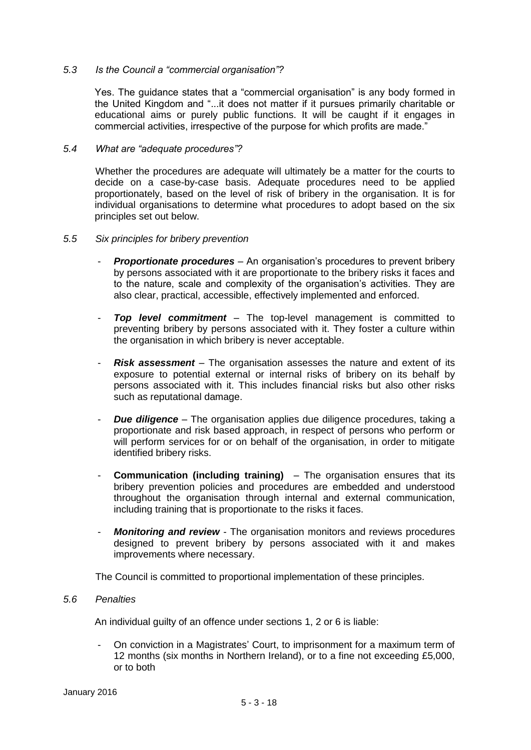#### *5.3 Is the Council a "commercial organisation"?*

Yes. The guidance states that a "commercial organisation" is any body formed in the United Kingdom and "...it does not matter if it pursues primarily charitable or educational aims or purely public functions. It will be caught if it engages in commercial activities, irrespective of the purpose for which profits are made."

#### *5.4 What are "adequate procedures"?*

Whether the procedures are adequate will ultimately be a matter for the courts to decide on a case-by-case basis. Adequate procedures need to be applied proportionately, based on the level of risk of bribery in the organisation. It is for individual organisations to determine what procedures to adopt based on the six principles set out below.

#### *5.5 Six principles for bribery prevention*

- **Proportionate procedures** An organisation's procedures to prevent bribery by persons associated with it are proportionate to the bribery risks it faces and to the nature, scale and complexity of the organisation's activities. They are also clear, practical, accessible, effectively implemented and enforced.
- *Top level commitment*  The top-level management is committed to preventing bribery by persons associated with it. They foster a culture within the organisation in which bribery is never acceptable.
- **Risk assessment** The organisation assesses the nature and extent of its exposure to potential external or internal risks of bribery on its behalf by persons associated with it. This includes financial risks but also other risks such as reputational damage.
- *Due diligence*  The organisation applies due diligence procedures, taking a proportionate and risk based approach, in respect of persons who perform or will perform services for or on behalf of the organisation, in order to mitigate identified bribery risks.
- **Communication (including training)** The organisation ensures that its bribery prevention policies and procedures are embedded and understood throughout the organisation through internal and external communication, including training that is proportionate to the risks it faces.
- **Monitoring and review** The organisation monitors and reviews procedures designed to prevent bribery by persons associated with it and makes improvements where necessary.

The Council is committed to proportional implementation of these principles.

#### *5.6 Penalties*

An individual guilty of an offence under sections 1, 2 or 6 is liable:

- On conviction in a Magistrates' Court, to imprisonment for a maximum term of 12 months (six months in Northern Ireland), or to a fine not exceeding £5,000, or to both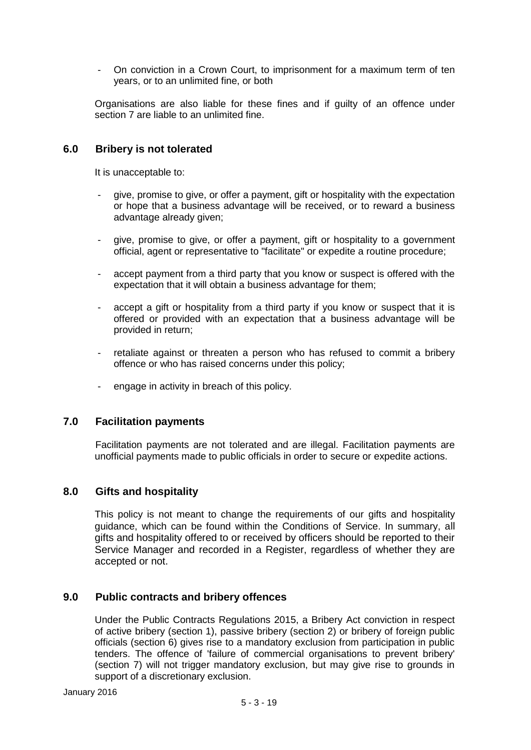- On conviction in a Crown Court, to imprisonment for a maximum term of ten years, or to an unlimited fine, or both

Organisations are also liable for these fines and if guilty of an offence under section 7 are liable to an unlimited fine.

## **6.0 Bribery is not tolerated**

It is unacceptable to:

- give, promise to give, or offer a payment, gift or hospitality with the expectation or hope that a business advantage will be received, or to reward a business advantage already given;
- give, promise to give, or offer a payment, gift or hospitality to a government official, agent or representative to "facilitate" or expedite a routine procedure;
- accept payment from a third party that you know or suspect is offered with the expectation that it will obtain a business advantage for them;
- accept a gift or hospitality from a third party if you know or suspect that it is offered or provided with an expectation that a business advantage will be provided in return;
- retaliate against or threaten a person who has refused to commit a bribery offence or who has raised concerns under this policy;
- engage in activity in breach of this policy.

#### **7.0 Facilitation payments**

Facilitation payments are not tolerated and are illegal. Facilitation payments are unofficial payments made to public officials in order to secure or expedite actions.

#### **8.0 Gifts and hospitality**

This policy is not meant to change the requirements of our gifts and hospitality guidance, which can be found within the Conditions of Service. In summary, all gifts and hospitality offered to or received by officers should be reported to their Service Manager and recorded in a Register, regardless of whether they are accepted or not.

#### **9.0 Public contracts and bribery offences**

Under the Public Contracts Regulations 2015, a Bribery Act conviction in respect of active bribery (section 1), passive bribery (section 2) or bribery of foreign public officials (section 6) gives rise to a mandatory exclusion from participation in public tenders. The offence of 'failure of commercial organisations to prevent bribery' (section 7) will not trigger mandatory exclusion, but may give rise to grounds in support of a discretionary exclusion.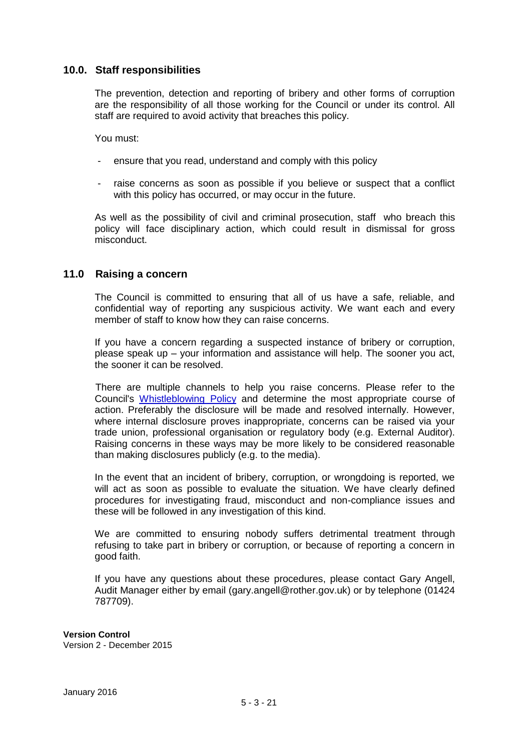## **10.0. Staff responsibilities**

The prevention, detection and reporting of bribery and other forms of corruption are the responsibility of all those working for the Council or under its control. All staff are required to avoid activity that breaches this policy.

You must:

- ensure that you read, understand and comply with this policy
- raise concerns as soon as possible if you believe or suspect that a conflict with this policy has occurred, or may occur in the future.

As well as the possibility of civil and criminal prosecution, staff who breach this policy will face disciplinary action, which could result in dismissal for gross misconduct.

## **11.0 Raising a concern**

The Council is committed to ensuring that all of us have a safe, reliable, and confidential way of reporting any suspicious activity. We want each and every member of staff to know how they can raise concerns.

If you have a concern regarding a suspected instance of bribery or corruption, please speak up – your information and assistance will help. The sooner you act, the sooner it can be resolved.

There are multiple channels to help you raise concerns. Please refer to the Council's Whistleblowing Policy and determine the most appropriate course of action. Preferably the disclosure will be made and resolved internally. However, where internal disclosure proves inappropriate, concerns can be raised via your trade union, professional organisation or regulatory body (e.g. External Auditor). Raising concerns in these ways may be more likely to be considered reasonable than making disclosures publicly (e.g. to the media).

In the event that an incident of bribery, corruption, or wrongdoing is reported, we will act as soon as possible to evaluate the situation. We have clearly defined procedures for investigating fraud, misconduct and non-compliance issues and these will be followed in any investigation of this kind.

We are committed to ensuring nobody suffers detrimental treatment through refusing to take part in bribery or corruption, or because of reporting a concern in good faith.

If you have any questions about these procedures, please contact Gary Angell, Audit Manager either by email (gary.angell@rother.gov.uk) or by telephone (01424 787709).

#### **Version Control**

Version 2 - December 2015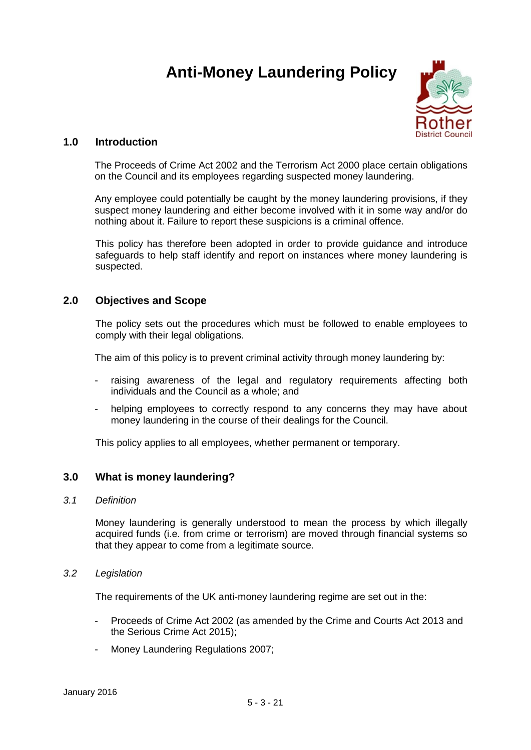## **Anti-Money Laundering Policy**



## **1.0 Introduction**

The Proceeds of Crime Act 2002 and the Terrorism Act 2000 place certain obligations on the Council and its employees regarding suspected money laundering.

Any employee could potentially be caught by the money laundering provisions, if they suspect money laundering and either become involved with it in some way and/or do nothing about it. Failure to report these suspicions is a criminal offence.

This policy has therefore been adopted in order to provide guidance and introduce safeguards to help staff identify and report on instances where money laundering is suspected.

## **2.0 Objectives and Scope**

The policy sets out the procedures which must be followed to enable employees to comply with their legal obligations.

The aim of this policy is to prevent criminal activity through money laundering by:

- raising awareness of the legal and regulatory requirements affecting both individuals and the Council as a whole; and
- helping employees to correctly respond to any concerns they may have about money laundering in the course of their dealings for the Council.

This policy applies to all employees, whether permanent or temporary.

## **3.0 What is money laundering?**

#### *3.1 Definition*

Money laundering is generally understood to mean the process by which illegally acquired funds (i.e. from crime or terrorism) are moved through financial systems so that they appear to come from a legitimate source.

#### *3.2 Legislation*

The requirements of the UK anti-money laundering regime are set out in the:

- Proceeds of Crime Act 2002 (as amended by the Crime and Courts Act 2013 and the Serious Crime Act 2015);
- Money Laundering Regulations 2007: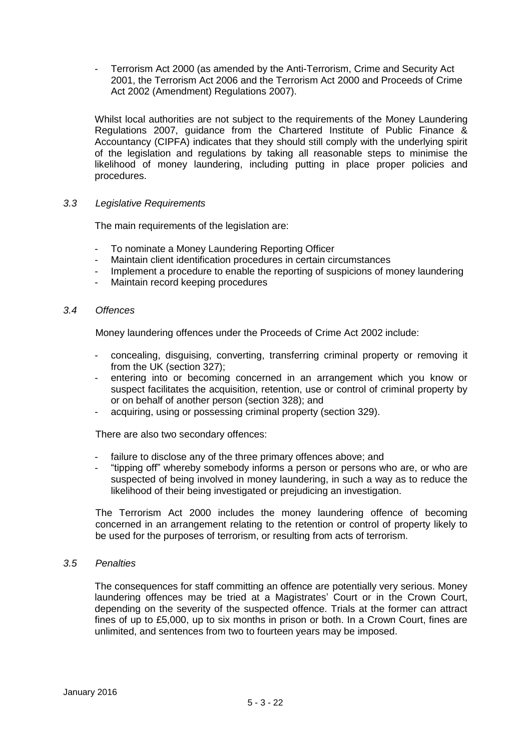- Terrorism Act 2000 (as amended by the Anti-Terrorism, Crime and Security Act 2001, the Terrorism Act 2006 and the Terrorism Act 2000 and Proceeds of Crime Act 2002 (Amendment) Regulations 2007).

Whilst local authorities are not subject to the requirements of the Money Laundering Regulations 2007, guidance from the Chartered Institute of Public Finance & Accountancy (CIPFA) indicates that they should still comply with the underlying spirit of the legislation and regulations by taking all reasonable steps to minimise the likelihood of money laundering, including putting in place proper policies and procedures.

#### *3.3 Legislative Requirements*

The main requirements of the legislation are:

- To nominate a Money Laundering Reporting Officer
- Maintain client identification procedures in certain circumstances
- Implement a procedure to enable the reporting of suspicions of money laundering
- Maintain record keeping procedures

#### *3.4 Offences*

Money laundering offences under the Proceeds of Crime Act 2002 include:

- concealing, disguising, converting, transferring criminal property or removing it from the UK (section 327);
- entering into or becoming concerned in an arrangement which you know or suspect facilitates the acquisition, retention, use or control of criminal property by or on behalf of another person (section 328); and
- acquiring, using or possessing criminal property (section 329).

There are also two secondary offences:

- failure to disclose any of the three primary offences above; and
- "tipping off" whereby somebody informs a person or persons who are, or who are suspected of being involved in money laundering, in such a way as to reduce the likelihood of their being investigated or prejudicing an investigation.

The Terrorism Act 2000 includes the money laundering offence of becoming concerned in an arrangement relating to the retention or control of property likely to be used for the purposes of terrorism, or resulting from acts of terrorism.

#### *3.5 Penalties*

The consequences for staff committing an offence are potentially very serious. Money laundering offences may be tried at a Magistrates' Court or in the Crown Court, depending on the severity of the suspected offence. Trials at the former can attract fines of up to £5,000, up to six months in prison or both. In a Crown Court, fines are unlimited, and sentences from two to fourteen years may be imposed.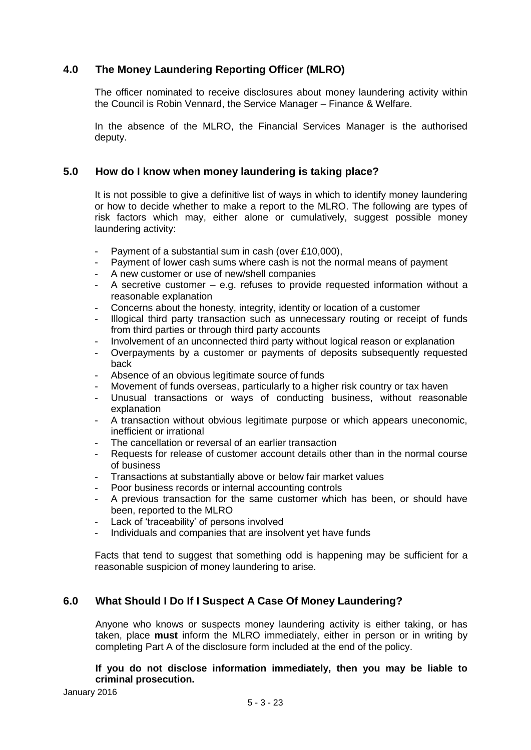## **4.0 The Money Laundering Reporting Officer (MLRO)**

The officer nominated to receive disclosures about money laundering activity within the Council is Robin Vennard, the Service Manager – Finance & Welfare.

In the absence of the MLRO, the Financial Services Manager is the authorised deputy.

## **5.0 How do I know when money laundering is taking place?**

It is not possible to give a definitive list of ways in which to identify money laundering or how to decide whether to make a report to the MLRO. The following are types of risk factors which may, either alone or cumulatively, suggest possible money laundering activity:

- Payment of a substantial sum in cash (over £10,000).
- Payment of lower cash sums where cash is not the normal means of payment
- A new customer or use of new/shell companies
- A secretive customer  $-$  e.g. refuses to provide requested information without a reasonable explanation
- Concerns about the honesty, integrity, identity or location of a customer
- Illogical third party transaction such as unnecessary routing or receipt of funds from third parties or through third party accounts
- Involvement of an unconnected third party without logical reason or explanation
- Overpayments by a customer or payments of deposits subsequently requested back
- Absence of an obvious legitimate source of funds
- Movement of funds overseas, particularly to a higher risk country or tax haven
- Unusual transactions or ways of conducting business, without reasonable explanation
- A transaction without obvious legitimate purpose or which appears uneconomic, inefficient or irrational
- The cancellation or reversal of an earlier transaction
- Requests for release of customer account details other than in the normal course of business
- Transactions at substantially above or below fair market values
- Poor business records or internal accounting controls
- A previous transaction for the same customer which has been, or should have been, reported to the MLRO
- Lack of 'traceability' of persons involved
- Individuals and companies that are insolvent yet have funds

Facts that tend to suggest that something odd is happening may be sufficient for a reasonable suspicion of money laundering to arise.

## **6.0 What Should I Do If I Suspect A Case Of Money Laundering?**

Anyone who knows or suspects money laundering activity is either taking, or has taken, place **must** inform the MLRO immediately, either in person or in writing by completing Part A of the disclosure form included at the end of the policy.

**If you do not disclose information immediately, then you may be liable to criminal prosecution.**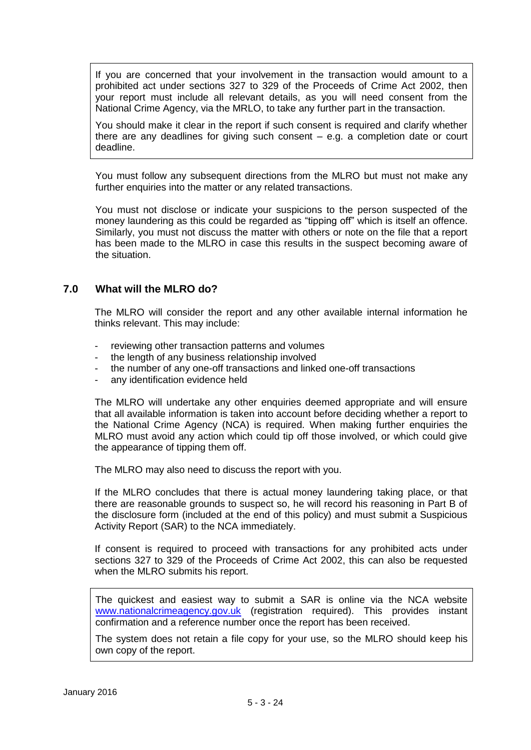If you are concerned that your involvement in the transaction would amount to a prohibited act under sections 327 to 329 of the Proceeds of Crime Act 2002, then your report must include all relevant details, as you will need consent from the National Crime Agency, via the MRLO, to take any further part in the transaction.

You should make it clear in the report if such consent is required and clarify whether there are any deadlines for giving such consent – e.g. a completion date or court deadline.

You must follow any subsequent directions from the MLRO but must not make any further enquiries into the matter or any related transactions.

You must not disclose or indicate your suspicions to the person suspected of the money laundering as this could be regarded as "tipping off" which is itself an offence. Similarly, you must not discuss the matter with others or note on the file that a report has been made to the MLRO in case this results in the suspect becoming aware of the situation.

## **7.0 What will the MLRO do?**

The MLRO will consider the report and any other available internal information he thinks relevant. This may include:

- reviewing other transaction patterns and volumes
- the length of any business relationship involved
- the number of any one-off transactions and linked one-off transactions
- any identification evidence held

The MLRO will undertake any other enquiries deemed appropriate and will ensure that all available information is taken into account before deciding whether a report to the National Crime Agency (NCA) is required. When making further enquiries the MLRO must avoid any action which could tip off those involved, or which could give the appearance of tipping them off.

The MLRO may also need to discuss the report with you.

If the MLRO concludes that there is actual money laundering taking place, or that there are reasonable grounds to suspect so, he will record his reasoning in Part B of the disclosure form (included at the end of this policy) and must submit a Suspicious Activity Report (SAR) to the NCA immediately.

If consent is required to proceed with transactions for any prohibited acts under sections 327 to 329 of the Proceeds of Crime Act 2002, this can also be requested when the MLRO submits his report.

The quickest and easiest way to submit a SAR is online via the NCA website www.nationalcrimeagency.gov.uk (registration required). This provides instant confirmation and a reference number once the report has been received.

The system does not retain a file copy for your use, so the MLRO should keep his own copy of the report.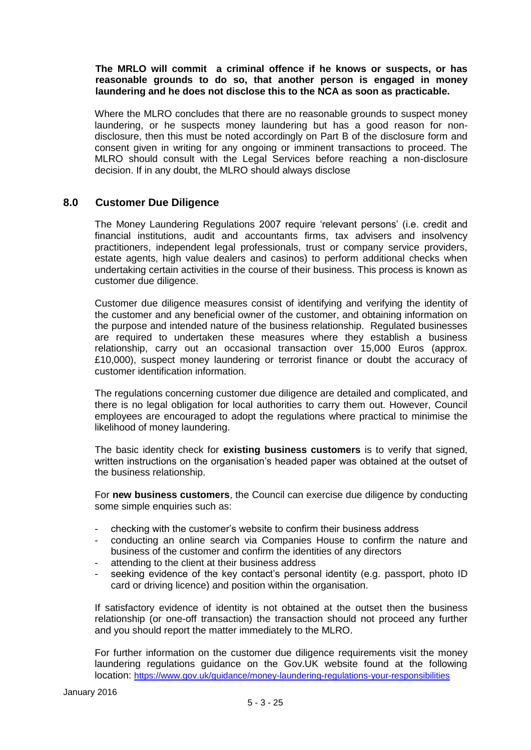#### **The MRLO will commit a criminal offence if he knows or suspects, or has reasonable grounds to do so, that another person is engaged in money laundering and he does not disclose this to the NCA as soon as practicable.**

Where the MLRO concludes that there are no reasonable grounds to suspect money laundering, or he suspects money laundering but has a good reason for nondisclosure, then this must be noted accordingly on Part B of the disclosure form and consent given in writing for any ongoing or imminent transactions to proceed. The MLRO should consult with the Legal Services before reaching a non-disclosure decision. If in any doubt, the MLRO should always disclose

## **8.0 Customer Due Diligence**

The Money Laundering Regulations 2007 require 'relevant persons' (i.e. credit and financial institutions, audit and accountants firms, tax advisers and insolvency practitioners, independent legal professionals, trust or company service providers, estate agents, high value dealers and casinos) to perform additional checks when undertaking certain activities in the course of their business. This process is known as customer due diligence.

Customer due diligence measures consist of identifying and verifying the identity of the customer and any beneficial owner of the customer, and obtaining information on the purpose and intended nature of the business relationship. Regulated businesses are required to undertaken these measures where they establish a business relationship, carry out an occasional transaction over 15,000 Euros (approx. £10,000), suspect money laundering or terrorist finance or doubt the accuracy of customer identification information.

The regulations concerning customer due diligence are detailed and complicated, and there is no legal obligation for local authorities to carry them out. However, Council employees are encouraged to adopt the regulations where practical to minimise the likelihood of money laundering.

The basic identity check for **existing business customers** is to verify that signed, written instructions on the organisation's headed paper was obtained at the outset of the business relationship.

For **new business customers**, the Council can exercise due diligence by conducting some simple enquiries such as:

- checking with the customer's website to confirm their business address
- conducting an online search via Companies House to confirm the nature and business of the customer and confirm the identities of any directors
- attending to the client at their business address
- seeking evidence of the key contact's personal identity (e.g. passport, photo ID card or driving licence) and position within the organisation.

If satisfactory evidence of identity is not obtained at the outset then the business relationship (or one-off transaction) the transaction should not proceed any further and you should report the matter immediately to the MLRO.

For further information on the customer due diligence requirements visit the money laundering regulations guidance on the Gov.UK website found at the following location: <https://www.gov.uk/guidance/money-laundering-regulations-your-responsibilities>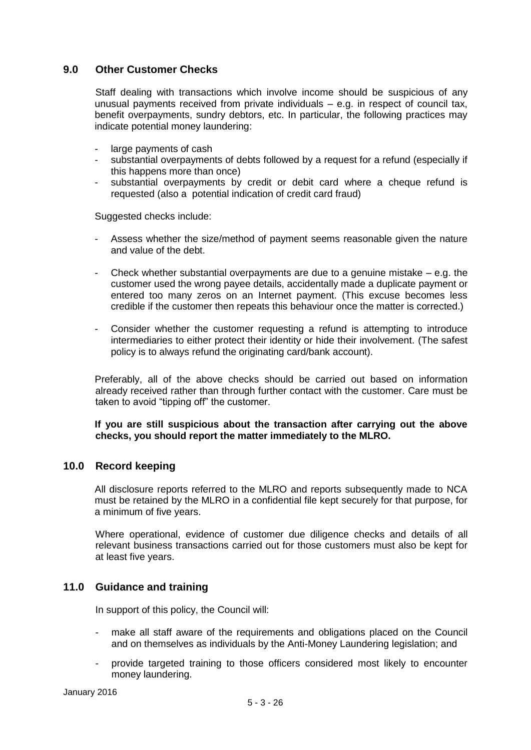## **9.0 Other Customer Checks**

Staff dealing with transactions which involve income should be suspicious of any unusual payments received from private individuals – e.g. in respect of council tax, benefit overpayments, sundry debtors, etc. In particular, the following practices may indicate potential money laundering:

- large payments of cash
- substantial overpayments of debts followed by a request for a refund (especially if this happens more than once)
- substantial overpayments by credit or debit card where a cheque refund is requested (also a potential indication of credit card fraud)

Suggested checks include:

- Assess whether the size/method of payment seems reasonable given the nature and value of the debt.
- Check whether substantial overpayments are due to a genuine mistake  $-$  e.g. the customer used the wrong payee details, accidentally made a duplicate payment or entered too many zeros on an Internet payment. (This excuse becomes less credible if the customer then repeats this behaviour once the matter is corrected.)
- Consider whether the customer requesting a refund is attempting to introduce intermediaries to either protect their identity or hide their involvement. (The safest policy is to always refund the originating card/bank account).

Preferably, all of the above checks should be carried out based on information already received rather than through further contact with the customer. Care must be taken to avoid "tipping off" the customer.

**If you are still suspicious about the transaction after carrying out the above checks, you should report the matter immediately to the MLRO.**

#### **10.0 Record keeping**

All disclosure reports referred to the MLRO and reports subsequently made to NCA must be retained by the MLRO in a confidential file kept securely for that purpose, for a minimum of five years.

Where operational, evidence of customer due diligence checks and details of all relevant business transactions carried out for those customers must also be kept for at least five years.

## **11.0 Guidance and training**

In support of this policy, the Council will:

- make all staff aware of the requirements and obligations placed on the Council and on themselves as individuals by the Anti-Money Laundering legislation; and
- provide targeted training to those officers considered most likely to encounter money laundering.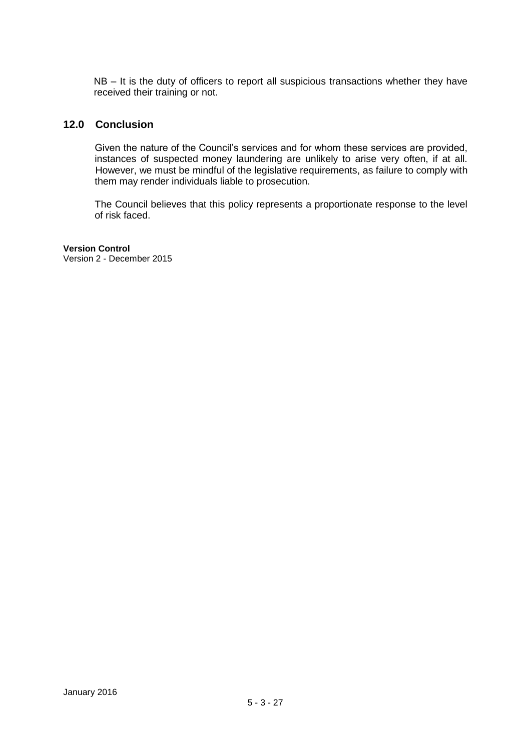NB – It is the duty of officers to report all suspicious transactions whether they have received their training or not.

## **12.0 Conclusion**

Given the nature of the Council's services and for whom these services are provided, instances of suspected money laundering are unlikely to arise very often, if at all. However, we must be mindful of the legislative requirements, as failure to comply with them may render individuals liable to prosecution.

The Council believes that this policy represents a proportionate response to the level of risk faced.

**Version Control**

Version 2 - December 2015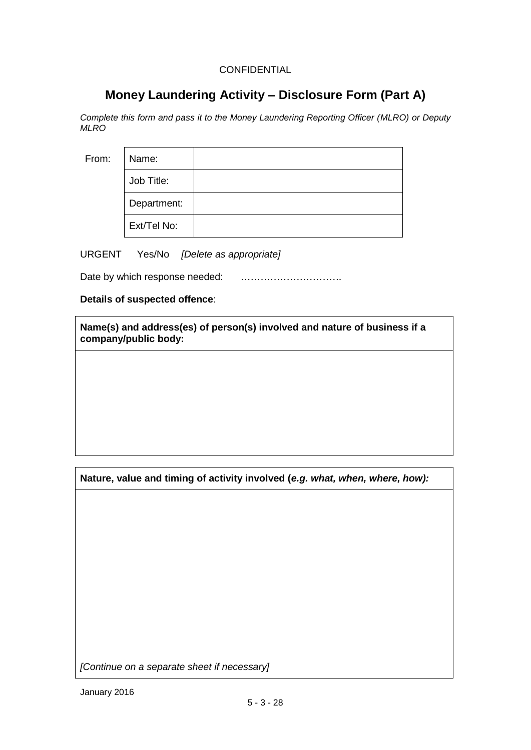## **CONFIDENTIAL**

## **Money Laundering Activity – Disclosure Form (Part A)**

*Complete this form and pass it to the Money Laundering Reporting Officer (MLRO) or Deputy MLRO* 

From:

|  | Name:       |  |
|--|-------------|--|
|  | Job Title:  |  |
|  | Department: |  |
|  | Ext/Tel No: |  |

URGENT Yes/No *[Delete as appropriate]*

Date by which response needed: ………………………….

**Details of suspected offence**:

**Name(s) and address(es) of person(s) involved and nature of business if a company/public body:**

**Nature, value and timing of activity involved (***e.g. what, when, where, how):* 

*[Continue on a separate sheet if necessary]*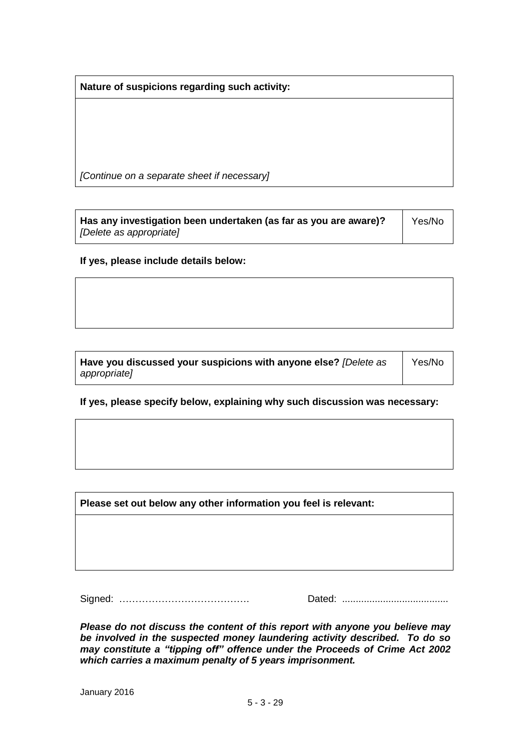**Nature of suspicions regarding such activity:**

*[Continue on a separate sheet if necessary]*

| Has any investigation been undertaken (as far as you are aware)? | Yes/No |
|------------------------------------------------------------------|--------|
| Delete as appropriate                                            |        |

**If yes, please include details below:**

| Have you discussed your suspicions with anyone else? [Delete as |  |  |
|-----------------------------------------------------------------|--|--|
| appropriate]                                                    |  |  |

**If yes, please specify below, explaining why such discussion was necessary:**

**Please set out below any other information you feel is relevant:**

Signed:…………………………………. Dated: .......................................

*Please do not discuss the content of this report with anyone you believe may be involved in the suspected money laundering activity described. To do so may constitute a "tipping off" offence under the Proceeds of Crime Act 2002 which carries a maximum penalty of 5 years imprisonment.*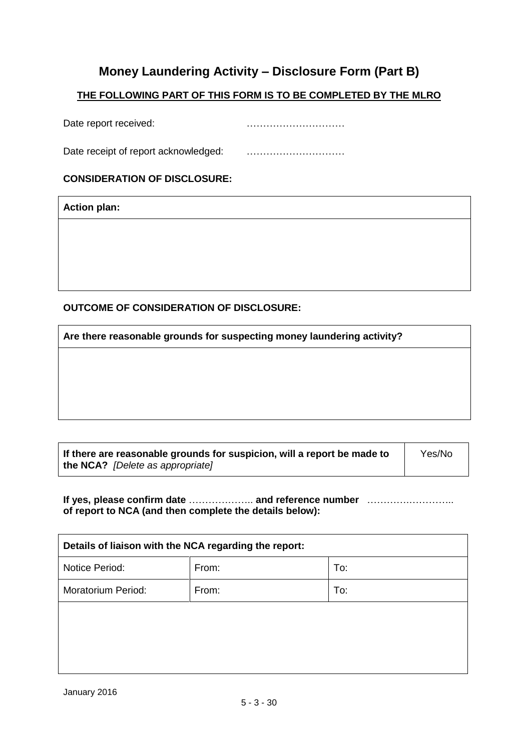## **Money Laundering Activity – Disclosure Form (Part B)**

## **THE FOLLOWING PART OF THIS FORM IS TO BE COMPLETED BY THE MLRO**

Date report received: with the contract of the contract of the contract of the contract of the contract of the contract of the contract of the contract of the contract of the contract of the contract of the contract of the

Date receipt of report acknowledged: …………………………

#### **CONSIDERATION OF DISCLOSURE:**

**Action plan:**

## **OUTCOME OF CONSIDERATION OF DISCLOSURE:**

| If there are reasonable grounds for suspicion, will a report be made to |  |  |
|-------------------------------------------------------------------------|--|--|
| the NCA? [Delete as appropriate]                                        |  |  |

**If yes, please confirm date** ……………….. **and reference number** ………….………….. **of report to NCA (and then complete the details below):** 

| Details of liaison with the NCA regarding the report: |       |     |  |
|-------------------------------------------------------|-------|-----|--|
| Notice Period:                                        | From: | To: |  |
| Moratorium Period:                                    | From: | To: |  |
|                                                       |       |     |  |
|                                                       |       |     |  |
|                                                       |       |     |  |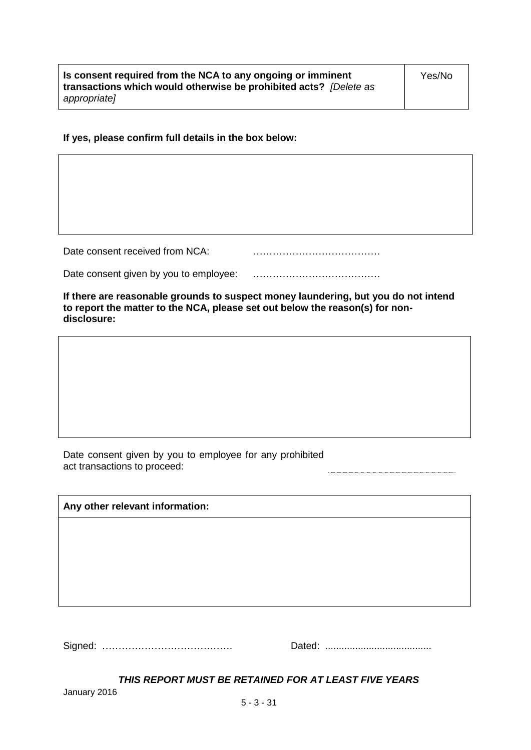| Is consent required from the NCA to any ongoing or imminent<br>transactions which would otherwise be prohibited acts? <i>Delete as</i> | Yes/No |
|----------------------------------------------------------------------------------------------------------------------------------------|--------|
| appropriate]                                                                                                                           |        |

**If yes, please confirm full details in the box below:**

|  | Date consent received from NCA: |  |
|--|---------------------------------|--|
|--|---------------------------------|--|

| Date consent given by you to employee: |  |  |
|----------------------------------------|--|--|
|                                        |  |  |

**If there are reasonable grounds to suspect money laundering, but you do not intend to report the matter to the NCA, please set out below the reason(s) for nondisclosure:**

Date consent given by you to employee for any prohibited act transactions to proceed:

**Any other relevant information:**

Signed:…………………………………. Dated: .......................................

*THIS REPORT MUST BE RETAINED FOR AT LEAST FIVE YEARS*

January 2016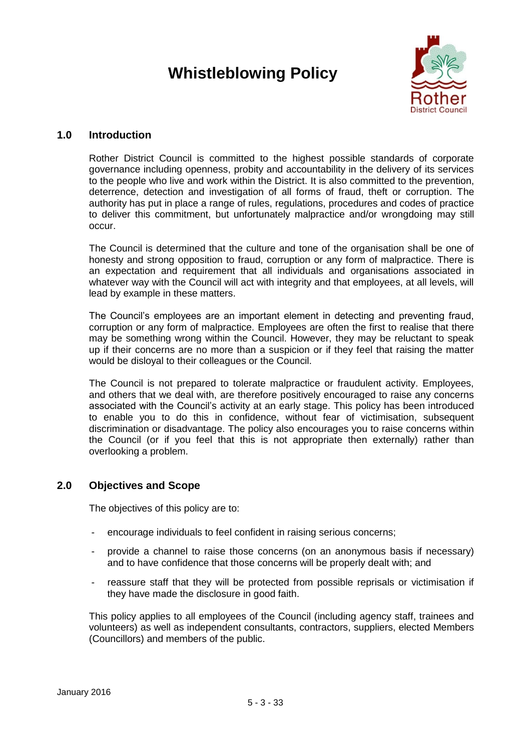## **Whistleblowing Policy**



## **1.0 Introduction**

Rother District Council is committed to the highest possible standards of corporate governance including openness, probity and accountability in the delivery of its services to the people who live and work within the District. It is also committed to the prevention, deterrence, detection and investigation of all forms of fraud, theft or corruption. The authority has put in place a range of rules, regulations, procedures and codes of practice to deliver this commitment, but unfortunately malpractice and/or wrongdoing may still occur.

The Council is determined that the culture and tone of the organisation shall be one of honesty and strong opposition to fraud, corruption or any form of malpractice. There is an expectation and requirement that all individuals and organisations associated in whatever way with the Council will act with integrity and that employees, at all levels, will lead by example in these matters.

The Council's employees are an important element in detecting and preventing fraud, corruption or any form of malpractice. Employees are often the first to realise that there may be something wrong within the Council. However, they may be reluctant to speak up if their concerns are no more than a suspicion or if they feel that raising the matter would be disloyal to their colleagues or the Council.

The Council is not prepared to tolerate malpractice or fraudulent activity. Employees, and others that we deal with, are therefore positively encouraged to raise any concerns associated with the Council's activity at an early stage. This policy has been introduced to enable you to do this in confidence, without fear of victimisation, subsequent discrimination or disadvantage. The policy also encourages you to raise concerns within the Council (or if you feel that this is not appropriate then externally) rather than overlooking a problem.

#### **2.0 Objectives and Scope**

The objectives of this policy are to:

- encourage individuals to feel confident in raising serious concerns;
- provide a channel to raise those concerns (on an anonymous basis if necessary) and to have confidence that those concerns will be properly dealt with; and
- reassure staff that they will be protected from possible reprisals or victimisation if they have made the disclosure in good faith.

This policy applies to all employees of the Council (including agency staff, trainees and volunteers) as well as independent consultants, contractors, suppliers, elected Members (Councillors) and members of the public.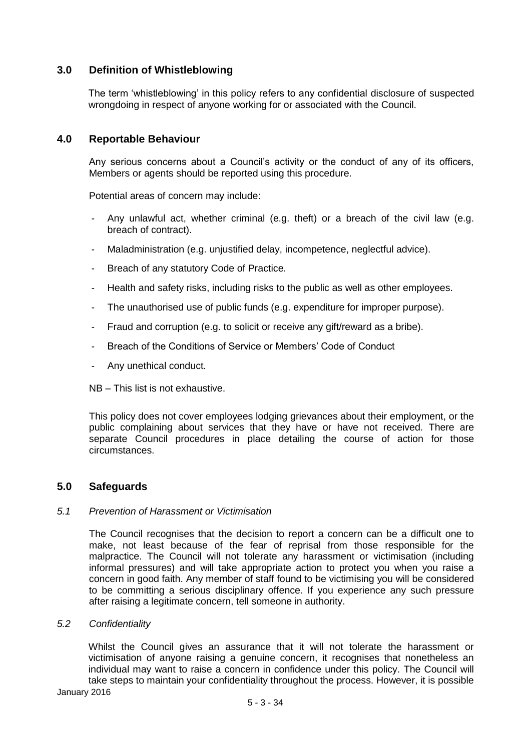## **3.0 Definition of Whistleblowing**

The term 'whistleblowing' in this policy refers to any confidential disclosure of suspected wrongdoing in respect of anyone working for or associated with the Council.

## **4.0 Reportable Behaviour**

Any serious concerns about a Council's activity or the conduct of any of its officers, Members or agents should be reported using this procedure.

Potential areas of concern may include:

- Any unlawful act, whether criminal (e.g. theft) or a breach of the civil law (e.g. breach of contract).
- Maladministration (e.g. unjustified delay, incompetence, neglectful advice).
- Breach of any statutory Code of Practice.
- Health and safety risks, including risks to the public as well as other employees.
- The unauthorised use of public funds (e.g. expenditure for improper purpose).
- Fraud and corruption (e.g. to solicit or receive any gift/reward as a bribe).
- Breach of the Conditions of Service or Members' Code of Conduct
- Any unethical conduct.
- NB This list is not exhaustive.

This policy does not cover employees lodging grievances about their employment, or the public complaining about services that they have or have not received. There are separate Council procedures in place detailing the course of action for those circumstances.

## **5.0 Safeguards**

#### *5.1 Prevention of Harassment or Victimisation*

The Council recognises that the decision to report a concern can be a difficult one to make, not least because of the fear of reprisal from those responsible for the malpractice. The Council will not tolerate any harassment or victimisation (including informal pressures) and will take appropriate action to protect you when you raise a concern in good faith. Any member of staff found to be victimising you will be considered to be committing a serious disciplinary offence. If you experience any such pressure after raising a legitimate concern, tell someone in authority.

#### *5.2 Confidentiality*

Whilst the Council gives an assurance that it will not tolerate the harassment or victimisation of anyone raising a genuine concern, it recognises that nonetheless an individual may want to raise a concern in confidence under this policy. The Council will take steps to maintain your confidentiality throughout the process. However, it is possible

January 2016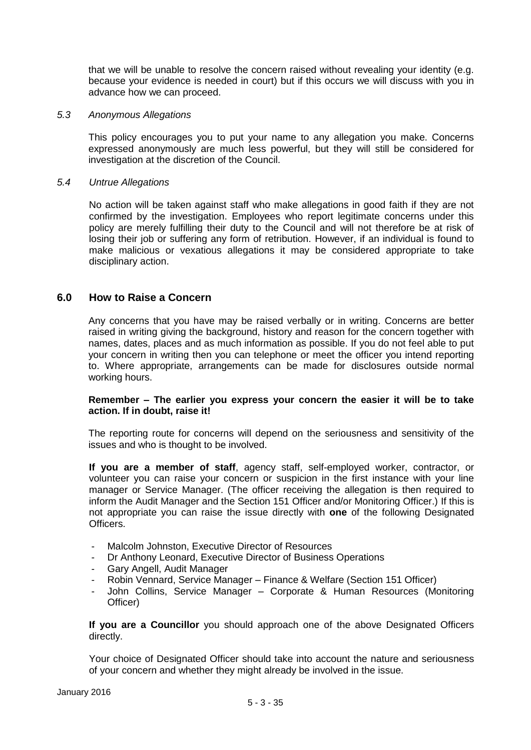that we will be unable to resolve the concern raised without revealing your identity (e.g. because your evidence is needed in court) but if this occurs we will discuss with you in advance how we can proceed.

#### *5.3 Anonymous Allegations*

This policy encourages you to put your name to any allegation you make. Concerns expressed anonymously are much less powerful, but they will still be considered for investigation at the discretion of the Council.

#### *5.4 Untrue Allegations*

No action will be taken against staff who make allegations in good faith if they are not confirmed by the investigation. Employees who report legitimate concerns under this policy are merely fulfilling their duty to the Council and will not therefore be at risk of losing their job or suffering any form of retribution. However, if an individual is found to make malicious or vexatious allegations it may be considered appropriate to take disciplinary action.

## **6.0 How to Raise a Concern**

Any concerns that you have may be raised verbally or in writing. Concerns are better raised in writing giving the background, history and reason for the concern together with names, dates, places and as much information as possible. If you do not feel able to put your concern in writing then you can telephone or meet the officer you intend reporting to. Where appropriate, arrangements can be made for disclosures outside normal working hours.

#### **Remember – The earlier you express your concern the easier it will be to take action. If in doubt, raise it!**

The reporting route for concerns will depend on the seriousness and sensitivity of the issues and who is thought to be involved.

**If you are a member of staff**, agency staff, self-employed worker, contractor, or volunteer you can raise your concern or suspicion in the first instance with your line manager or Service Manager. (The officer receiving the allegation is then required to inform the Audit Manager and the Section 151 Officer and/or Monitoring Officer.) If this is not appropriate you can raise the issue directly with **one** of the following Designated Officers.

- Malcolm Johnston, Executive Director of Resources
- Dr Anthony Leonard, Executive Director of Business Operations
- Gary Angell, Audit Manager
- Robin Vennard, Service Manager Finance & Welfare (Section 151 Officer)
- John Collins, Service Manager Corporate & Human Resources (Monitoring Officer)

**If you are a Councillor** you should approach one of the above Designated Officers directly.

Your choice of Designated Officer should take into account the nature and seriousness of your concern and whether they might already be involved in the issue.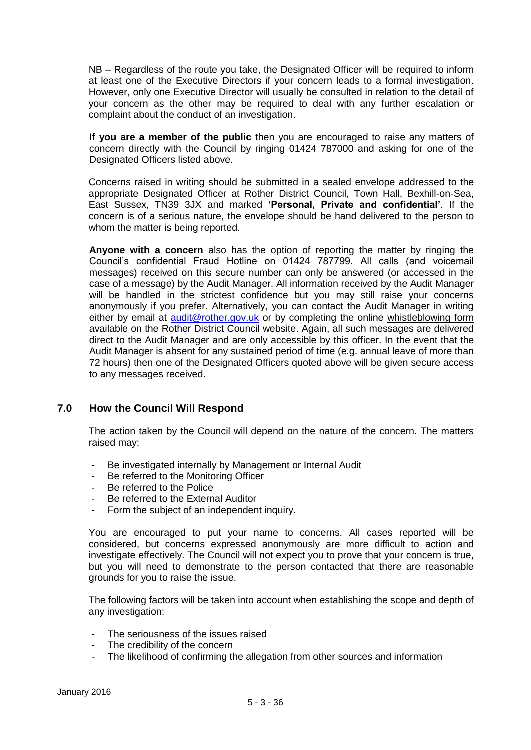NB – Regardless of the route you take, the Designated Officer will be required to inform at least one of the Executive Directors if your concern leads to a formal investigation. However, only one Executive Director will usually be consulted in relation to the detail of your concern as the other may be required to deal with any further escalation or complaint about the conduct of an investigation.

**If you are a member of the public** then you are encouraged to raise any matters of concern directly with the Council by ringing 01424 787000 and asking for one of the Designated Officers listed above.

Concerns raised in writing should be submitted in a sealed envelope addressed to the appropriate Designated Officer at Rother District Council, Town Hall, Bexhill-on-Sea, East Sussex, TN39 3JX and marked **'Personal, Private and confidential'**. If the concern is of a serious nature, the envelope should be hand delivered to the person to whom the matter is being reported.

**Anyone with a concern** also has the option of reporting the matter by ringing the Council's confidential Fraud Hotline on 01424 787799. All calls (and voicemail messages) received on this secure number can only be answered (or accessed in the case of a message) by the Audit Manager. All information received by the Audit Manager will be handled in the strictest confidence but you may still raise your concerns anonymously if you prefer. Alternatively, you can contact the Audit Manager in writing either by email at [audit@rother.gov.uk](mailto:audit@rother.gov.uk) or by completing the online whistleblowing form available on the Rother District Council website. Again, all such messages are delivered direct to the Audit Manager and are only accessible by this officer. In the event that the Audit Manager is absent for any sustained period of time (e.g. annual leave of more than 72 hours) then one of the Designated Officers quoted above will be given secure access to any messages received.

## **7.0 How the Council Will Respond**

The action taken by the Council will depend on the nature of the concern. The matters raised may:

- Be investigated internally by Management or Internal Audit
- Be referred to the Monitoring Officer
- Be referred to the Police
- Be referred to the External Auditor
- Form the subject of an independent inquiry.

You are encouraged to put your name to concerns. All cases reported will be considered, but concerns expressed anonymously are more difficult to action and investigate effectively. The Council will not expect you to prove that your concern is true, but you will need to demonstrate to the person contacted that there are reasonable grounds for you to raise the issue.

The following factors will be taken into account when establishing the scope and depth of any investigation:

- The seriousness of the issues raised
- The credibility of the concern
- The likelihood of confirming the allegation from other sources and information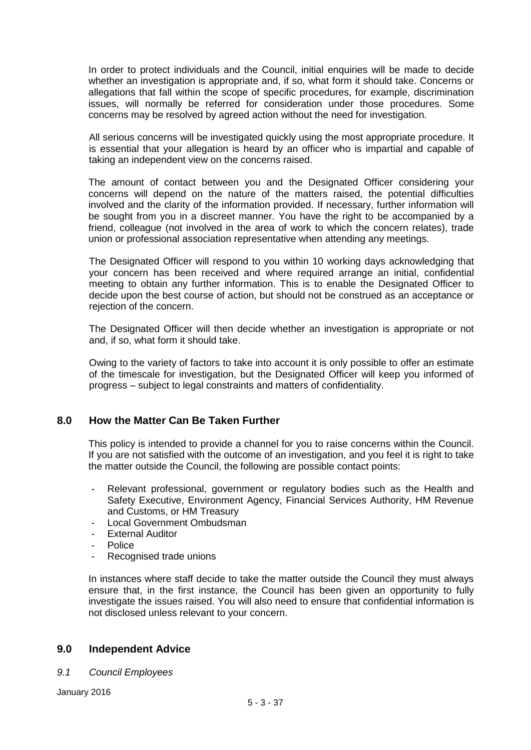In order to protect individuals and the Council, initial enquiries will be made to decide whether an investigation is appropriate and, if so, what form it should take. Concerns or allegations that fall within the scope of specific procedures, for example, discrimination issues, will normally be referred for consideration under those procedures. Some concerns may be resolved by agreed action without the need for investigation.

All serious concerns will be investigated quickly using the most appropriate procedure. It is essential that your allegation is heard by an officer who is impartial and capable of taking an independent view on the concerns raised.

The amount of contact between you and the Designated Officer considering your concerns will depend on the nature of the matters raised, the potential difficulties involved and the clarity of the information provided. If necessary, further information will be sought from you in a discreet manner. You have the right to be accompanied by a friend, colleague (not involved in the area of work to which the concern relates), trade union or professional association representative when attending any meetings.

The Designated Officer will respond to you within 10 working days acknowledging that your concern has been received and where required arrange an initial, confidential meeting to obtain any further information. This is to enable the Designated Officer to decide upon the best course of action, but should not be construed as an acceptance or rejection of the concern.

The Designated Officer will then decide whether an investigation is appropriate or not and, if so, what form it should take.

Owing to the variety of factors to take into account it is only possible to offer an estimate of the timescale for investigation, but the Designated Officer will keep you informed of progress – subject to legal constraints and matters of confidentiality.

#### **8.0 How the Matter Can Be Taken Further**

This policy is intended to provide a channel for you to raise concerns within the Council. If you are not satisfied with the outcome of an investigation, and you feel it is right to take the matter outside the Council, the following are possible contact points:

- Relevant professional, government or regulatory bodies such as the Health and Safety Executive, Environment Agency, Financial Services Authority, HM Revenue and Customs, or HM Treasury
- Local Government Ombudsman
- External Auditor
- **Police**
- Recognised trade unions

In instances where staff decide to take the matter outside the Council they must always ensure that, in the first instance, the Council has been given an opportunity to fully investigate the issues raised. You will also need to ensure that confidential information is not disclosed unless relevant to your concern.

#### **9.0 Independent Advice**

*9.1 Council Employees*

January 2016